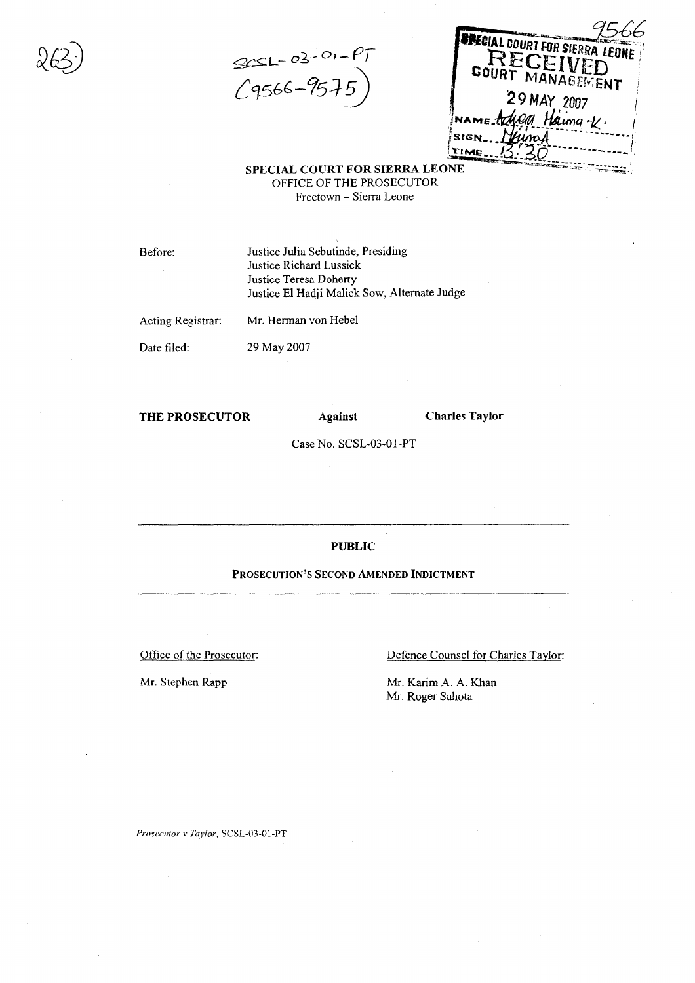$995L - 03 - 0, -197$ *L*Cf5f,(,-151i)

Mr. Herman von Hebel

| <b>INPECIAL COURT FOR SIERRA LEONE</b> |
|----------------------------------------|
| RECEIVED                               |
| COURT MANAGEMENT                       |
| 29 MAY 2007                            |
| NAME Adverd Haima-K.                   |
| Viinaf<br>stal                         |
|                                        |

**SPECIAL COURT FOR SIERRA LEONE** OFFICE OF THE PROSECUTOR Freetown - Sierra Leone

Before:

Justice Julia Sebutinde, Presiding Justice Richard Lussick Justice Teresa Doherty Justice **EI** Hadji Malick Sow, Alternate Judge

Acting Registrar:

Date filed: 29 May 2007

#### **THE PROSECUTOR Against**

**Charles Taylor**

Case No. SCSL-03-01-PT

#### **PUBLIC**

#### PROSECUTION'S SECOND **AMENDED INDICTMENT**

Office of the Prosecutor:

Mr. Stephen Rapp

Defence Counsel for Charles Taylor:

Mr. Karim A. A. Khan Mr. Roger Sahota

*Prosecutor v Taylor,* SCSL-03-01-PT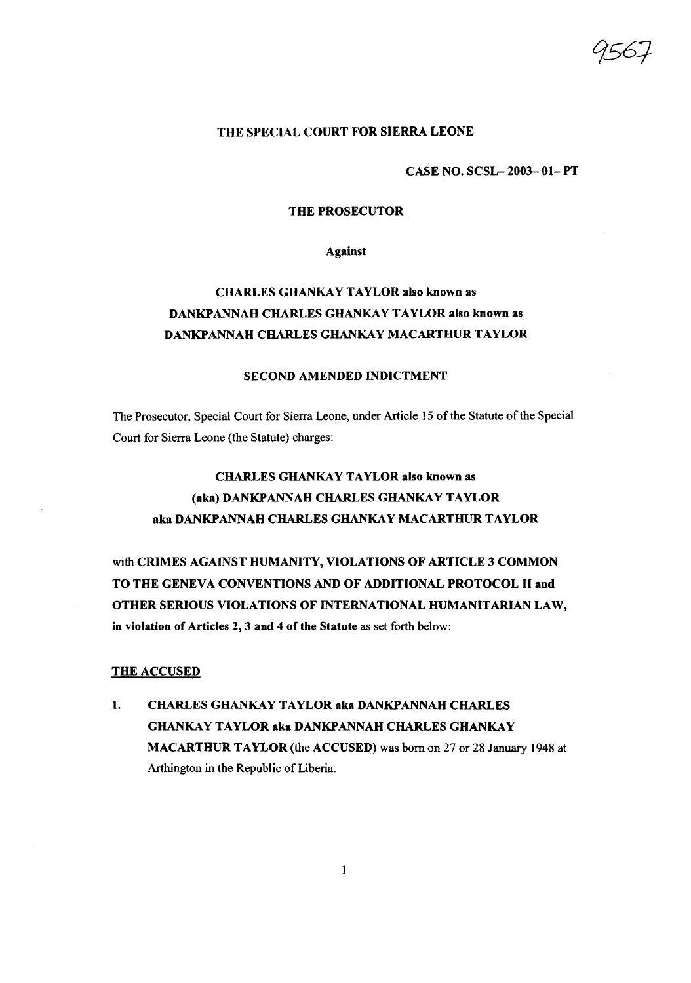## THE SPECIAL COURT FOR SIERRA LEONE

### CASE NO. SCSL- 2003- 01- PT

#### THE PROSECUTOR

Against

## CHARLES GHANKAY TAYLOR also known as DANKPANNAH CHARLES GHANKAY TAYLOR also known as DANKPANNAH CHARLES GHANKAY MACARTHUR TAYLOR

## SECOND AMENDED INDICTMENT

The Prosecutor, Special Court for Sierra Leone, under Article 15 of the Statute of the Special Court for Sierra Leone (the Statute) charges:

# CHARLES GHANKAY TAYLOR also known as (aka) DANKPANNAH CHARLES GHANKAY TAYLOR aka DANKPANNAH CHARLES GHANKAY MACARTHUR TAYLOR

with CRIMES AGAINST HUMANITY, VIOLATIONS OF ARTICLE 3 COMMON TO THE GENEVA CONVENTIONS AND OF ADDITIONAL PROTOCOL II and OTHER SERIOUS VIOLATIONS OF INTERNATIONAL HUMANITARIAN LAW, in violation of Articles 2, 3 and 4 of the Statute as set forth below:

#### THE ACCUSED

1. CHARLES GHANKAY TAYLOR aka DANKPANNAH CHARLES GHANKAY TAYLOR aka DANKPANNAH CHARLES GHANKAY MACARTHUR TAYLOR (the ACCUSED) was born on 27 or 28 January 1948 at Arthington in the Republic of Liberia.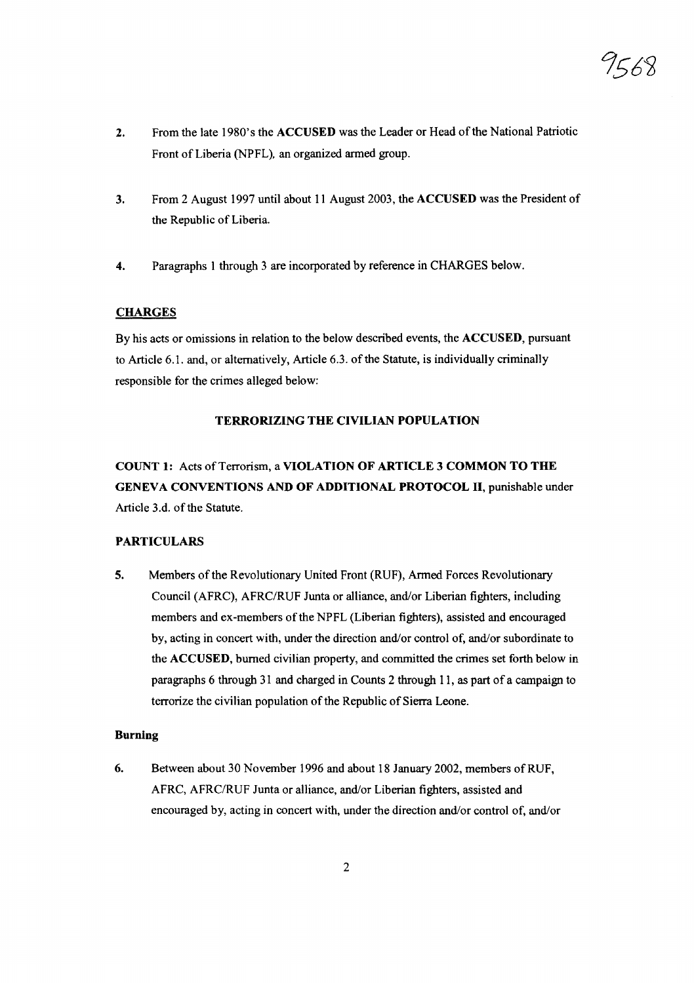- 2. From the late 1980's the ACCUSED was the Leader or Head ofthe National Patriotic Front of Liberia (NPFL), an organized armed group.
- 3. From 2 August 1997 until about II August 2003, the ACCUSED was the President of the Republic of Liberia.
- 4. Paragraphs I through 3 are incorporated by reference in CHARGES below.

## **CHARGES**

By his acts or omissions in relation to the below described events, the ACCUSED, pursuant to Article 6.1. and, or alternatively, Article 6.3. of the Statute, is individually criminally responsible for the crimes alleged below:

## TERRORIZING THE CIVILIAN POPULATION

COUNT 1: Acts of Terrorism, a VIOLATION OF ARTICLE 3 COMMON TO THE GENEVA CONVENTIONS AND OF ADDITIONAL PROTOCOL II, punishable under Article 3.d. of the Statute.

## PARTICULARS

5. Members of the Revolutionary United Front (RUF), Armed Forces Revolutionary Council (AFRC), AFRC/RUF Junta or alliance, and/or Liberian fighters, including members and ex-members of the NPFL (Liberian fighters), assisted and encouraged by, acting in concert with, under the direction and/or control of, and/or subordinate to the ACCUSED, burned civilian property, and committed the crimes set forth below in paragraphs 6 through 31 and charged in Counts 2 through 11, as part of a campaign to terrorize the civilian population of the Republic of Sierra Leone.

#### Burning

6. Between about 30 November 1996 and about 18 January 2002, members ofRUF, AFRC, AFRC/RUF Junta or alliance, and/or Liberian fighters, assisted and encouraged by, acting in concert with, under the direction and/or control of, and/or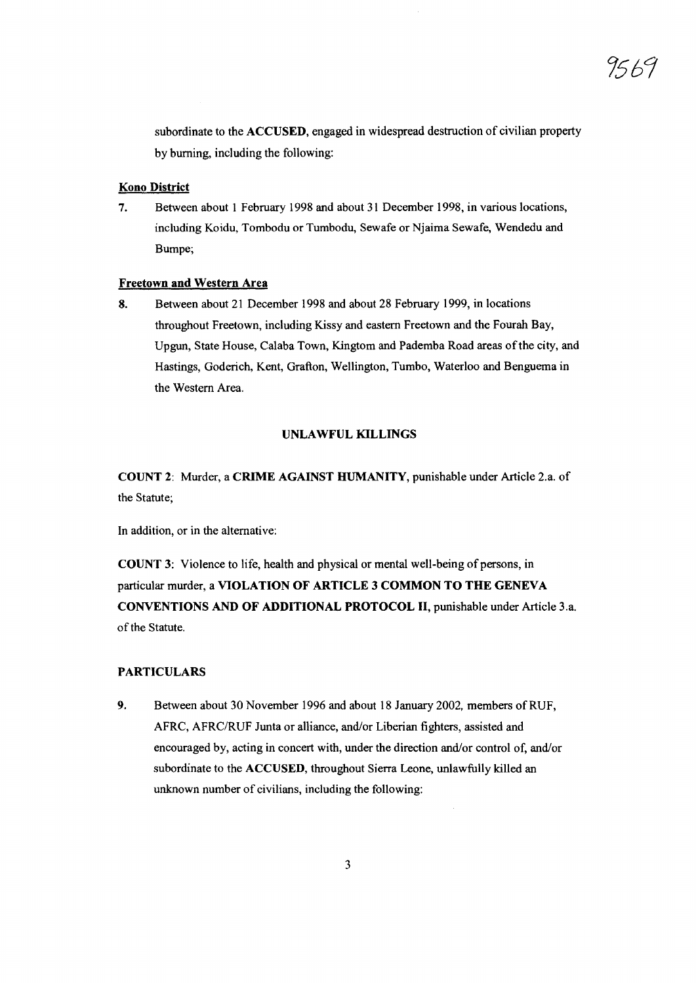subordinate to the ACCUSED, engaged in widespread destruction of civilian property by burning, including the following:

## Kono District

7. Between about 1 February 1998 and about 31 December 1998, in various locations, including Koidu, Tombodu or Tumbodu, Sewafe or Njaima Sewafe, Wendedu and Bumpe;

## Freetown and Western Area

8. Between about 21 December 1998 and about 28 February 1999, in locations throughout Freetown, including Kissy and eastern Freetown and the Fourah Bay, Upgun, State House, Calaba Town, Kingtom and Pademba Road areas ofthe city, and Hastings, Goderich, Kent, Grafton, Wellington, Turnbo, Waterloo and Benguema in the Western Area.

## UNLAWFUL KILLINGS

COUNT 2: Murder, a CRIME AGAINST HUMANITY, punishable under Article 2.a. of the Statute;

In addition, or in the alternative:

COUNT 3: Violence to life, health and physical or mental well-being of persons, in particular murder, a VIOLATION OF ARTICLE 3 COMMON TO THE GENEVA CONVENTIONS AND OF ADDITIONAL PROTOCOL II, punishable under Article 3.a. of the Statute.

## PARTICULARS

9. Between about 30 November 1996 and about 18 January 2002. members ofRUF, AFRC, AFRC/RUF Junta or alliance, and/or Liberian fighters, assisted and encouraged by, acting in concert with, under the direction and/or control of, and/or subordinate to the ACCUSED, throughout Sierra Leone, unlawfully killed an unknown number of civilians, including the following: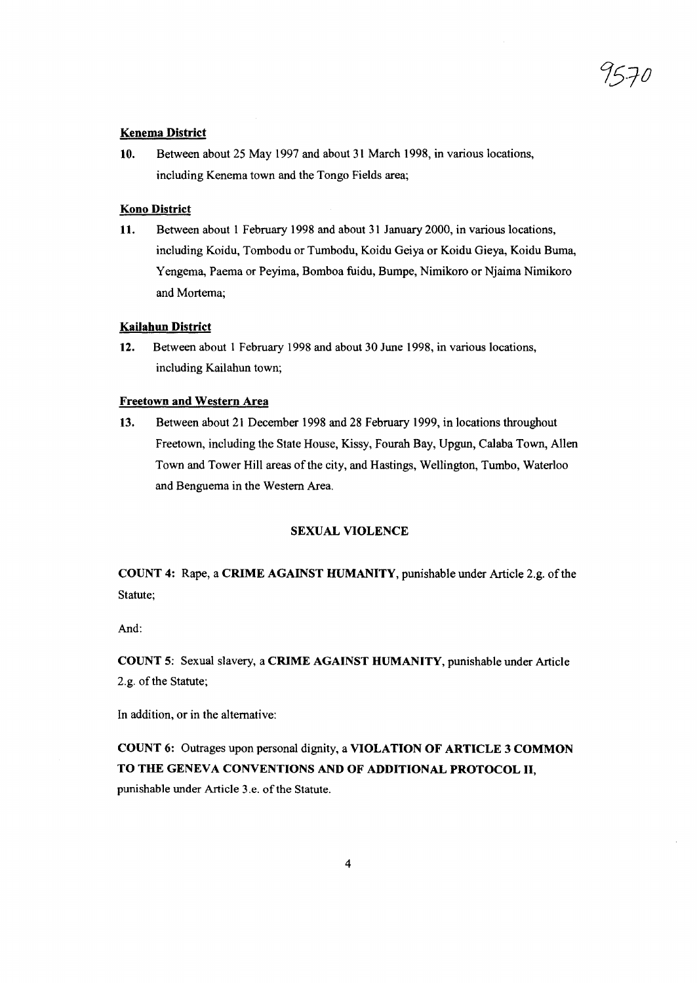#### Kenema District

10. Between about 25 May 1997 and about 31 March 1998, in various locations, including Kenema town and the Tongo Fields area;

#### Kono District

11. Between about 1 February 1998 and about 31 January 2000, in various locations, including Koidu, Tombodu or Tumbodu, Koidu Geiya or Koidu Gieya, Koidu Burna, Yengema, Paema or Peyima, Bomboa fuidu, Bumpe, Nimikoro or Njaima Nimikoro and Mortema;

#### Kailahun District

12. Between about 1 February 1998 and about 30 June 1998, in various locations, including Kailahun town;

#### Freetown and Western Area

13. Between about 21 December 1998 and 28 February 1999, in locations throughout Freetown, including the State House, Kissy, Fourah Bay, Upgun, Calaba Town, Allen Town and Tower Hill areas of the city, and Hastings, Wellington, Tumbo, Waterloo and Benguema in the Western Area.

#### SEXUAL VIOLENCE

COUNT 4: Rape, a CRIME AGAINST HUMANITY, punishable under Article 2.g. ofthe Statute;

And:

COUNT 5: Sexual slavery, a CRIME AGAINST HUMANITY, punishable under Article 2.g. of the Statute;

In addition, or in the alternative:

COUNT 6: Outrages upon personal dignity, a VIOLATION OF ARTICLE 3 COMMON TO THE GENEVA CONVENTIONS AND OF ADDITIONAL PROTOCOL II, punishable under Article 3.e. of the Statute.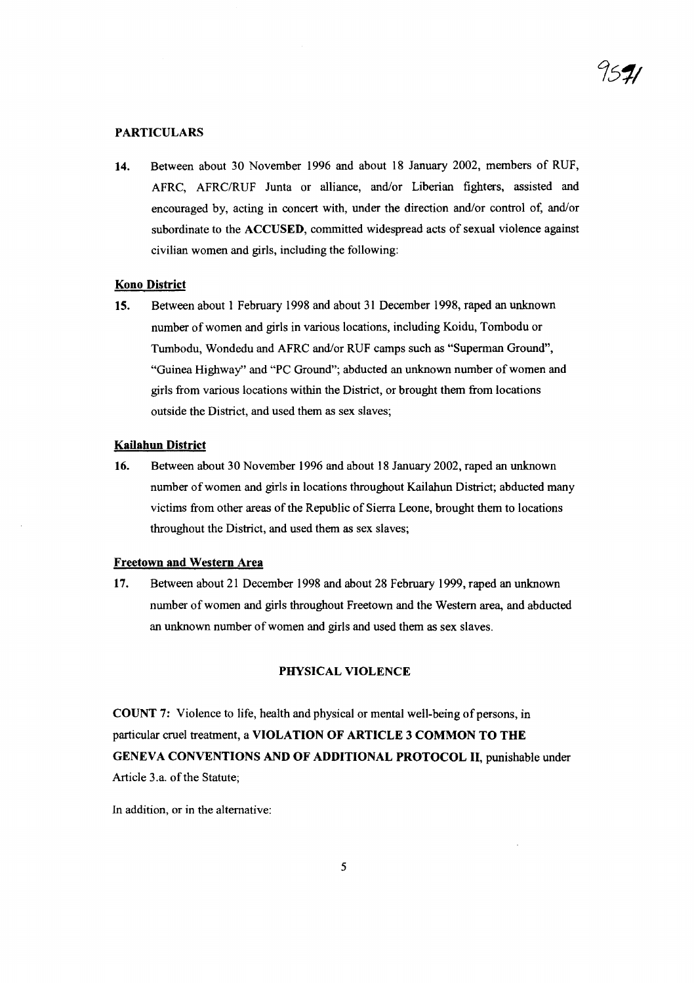## PARTICULARS

14. Between about 30 November 1996 and about 18 January 2002, members of RUF, AFRC, AFRC/RUF Junta or alliance, and/or Liberian fighters, assisted and encouraged by, acting in concert with, under the direction and/or control of, and/or subordinate to the ACCUSED, committed widespread acts of sexual violence against civilian women and girls, including the following:

#### Kono District

15. Between about 1 February 1998 and about 31 December 1998, raped an unknown number of women and girls in various locations, including Koidu, Tombodu or Tumbodu, Wondedu and AFRC and/or RUF camps such as "Superman Ground", "Guinea Highway" and "PC Ground"; abducted an unknown number of women and girls from various locations within the District, or brought them from locations outside the District, and used them as sex slaves;

#### Kailahun District

16. Between about 30 November 1996 and about 18 January 2002, raped an unknown number of women and girls in locations throughout Kailahun District; abducted many victims from other areas of the Republic of Sierra Leone, brought them to locations throughout the District, and used them as sex slaves;

#### Freetown and Western Area

17. Between about 21 December 1998 and about 28 February 1999, raped an unknown number of women and girls throughout Freetown and the Western area, and abducted an unknown number of women and girls and used them as sex slaves.

## PHYSICAL VIOLENCE

COUNT 7: Violence to life, health and physical or mental well-being of persons, in particular cruel treatment, a VIOLATION OF ARTICLE 3 COMMON TO THE GENEVA CONVENTIONS AND OF ADDITIONAL PROTOCOL II, punishable under Article 3.a. of the Statute;

In addition, or in the alternative: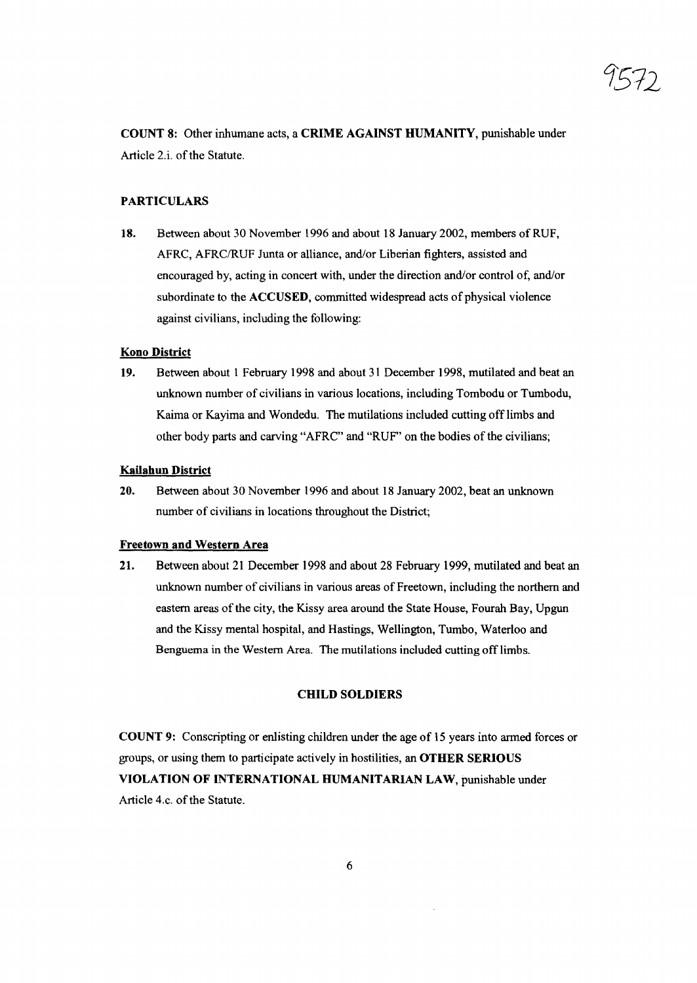1'572

COUNT 8: Other inhumane acts, a CRIME AGAINST HUMANITY, punishable under Article 2.i. of the Statute.

## PARTICULARS

18. Between about 30 November 1996 and about 18 January 2002, members of RUF, AFRC, AFRC/RUF Junta or alliance, and/or Liberian fighters, assisted and encouraged by, acting in concert with, under the direction and/or control of, and/or subordinate to the ACCUSED, committed widespread acts of physical violence against civilians, including the following:

## Kono District

19. Between about 1 February 1998 and about 31 December 1998, mutilated and beat an unknown number of civilians in various locations, including Tombodu or Tumbodu, Kaima or Kayima and Wondedu. The mutilations included cutting off limbs and other body parts and carving "AFRC" and "RUF" on the bodies of the civilians;

## Kailahun District

20. Between about 30 November 1996 and about 18 January 2002, beat an unknown number of civilians in locations throughout the District;

#### Freetown and Western Area

21. Between about 21 December 1998 and about 28 February 1999, mutilated and beat an unknown number of civilians in various areas of Freetown, including the northern and eastern areas of the city, the Kissy area around the State House, Fourah Bay, Upgun and the Kissy mental hospital, and Hastings, Wellington, Turnbo, Waterloo and Benguema in the Western Area. The mutilations included cutting off limbs.

## CHILD SOLDIERS

COUNT 9: Conscripting or enlisting children under the age of 15 years into armed forces or groups, or using them to participate actively in hostilities, an OTHER SERIOUS VIOLATION OF INTERNATIONAL HUMANITARIAN LAW, punishable under Article 4.c. of the Statute.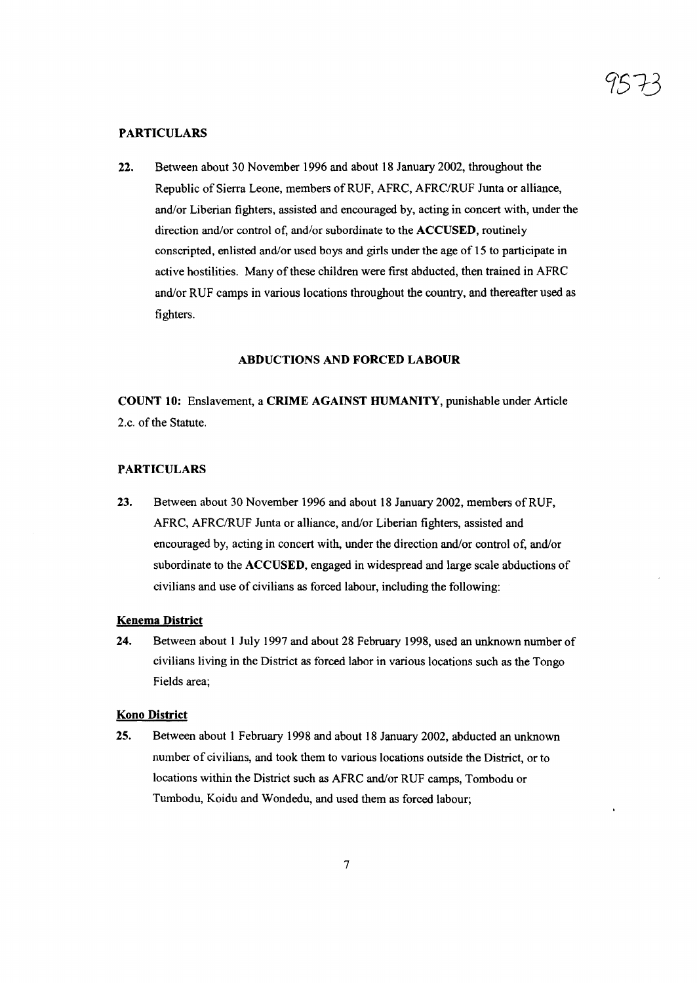## PARTICULARS

22. Between about 30 November 1996 and about 18 January 2002, throughout the Republic of Sierra Leone, members of RUF, AFRC, AFRC/RUF Junta or alliance, and/or Liberian fighters, assisted and encouraged by, acting in concert with, under the direction and/or control of, and/or subordinate to the ACCUSED, routinely conscripted, enlisted and/or used boys and girls under the age of 15 to participate in active hostilities. Many of these children were first abducted, then trained in AFRC and/or RUF camps in various locations throughout the country, and thereafter used as fighters.

#### ABDUCTIONS AND FORCED LABOUR

COUNT 10: Enslavement, a CRIME AGAINST HUMANITY, punishable under Article 2.c. of the Statute.

## PARTICULARS

23. Between about 30 November 1996 and about 18 January 2002, members ofRUF, AFRC, AFRC/RUF Junta or alliance, and/or Liberian fighters, assisted and encouraged by, acting in concert with, under the direction and/or control of, and/or subordinate to the ACCUSED, engaged in widespread and large scale abductions of civilians and use of civilians as forced labour, including the following:

#### Kenema District

24. Between about I July 1997 and about 28 February 1998, used an unknown number of civilians living in the District as forced labor in various locations such as the Tongo Fields area;

#### Kono District

25. Between about 1 February 1998 and about 18 January 2002, abducted an unknown number of civilians, and took them to various locations outside the District, or to locations within the District such as AFRC and/or RUF camps, Tombodu or Tumbodu, Koidu and Wondedu, and used them as forced labour;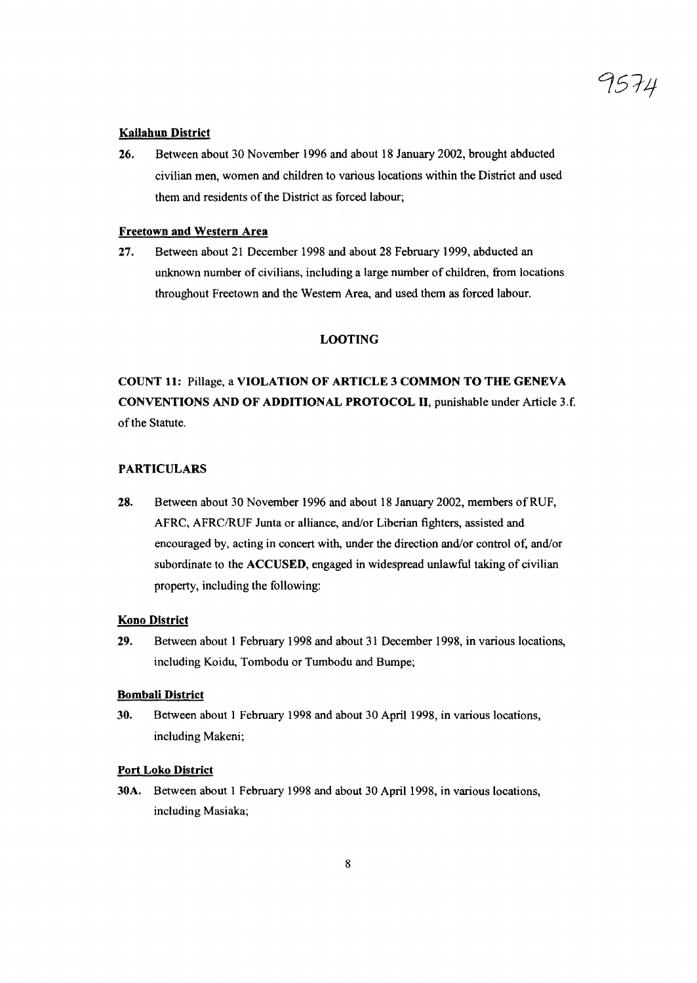# 9574

#### **Kailahun District**

26. Between about 30 November 1996 and about 18 January 2002, brought abducted civilian men, women and children to various locations within the District and used them and residents of the District as forced labour;

## Freetown and Western Area

27. Between about 21 December 1998 and about 28 February 1999, abducted an unknown number of civilians, including a large number of children, from locations throughout Freetown and the Western Area, and used them as forced labour.

## LOOTING

# COUNT 11: Pillage, a VIOLATION OF ARTICLE 3 COMMON TO THE GENEVA CONVENTIONS AND OF ADDITIONAL PROTOCOL II, punishable under Article 3.f. of the Statute.

## PARTICULARS

28. Between about 30 November 1996 and about 18 January 2002, members ofRUF, AFRC, AFRC/RUF Junta or alliance, and/or Liberian fighters, assisted and encouraged by, acting in concert with, under the direction and/or control of, and/or subordinate to the ACCUSED, engaged in widespread unlawful taking of civilian property, including the following:

## Kono District

29. Between about 1 February 1998 and about 31 December 1998, in various locations, including Koidu, Tombodu or Tumbodu and Bumpe;

#### Bombali District

30. Between about 1 February 1998 and about 30 April 1998, in various locations, including Makeni;

#### Port Loko District

30A. Between about 1 February 1998 and about 30 April 1998, in various locations, including Masiaka;